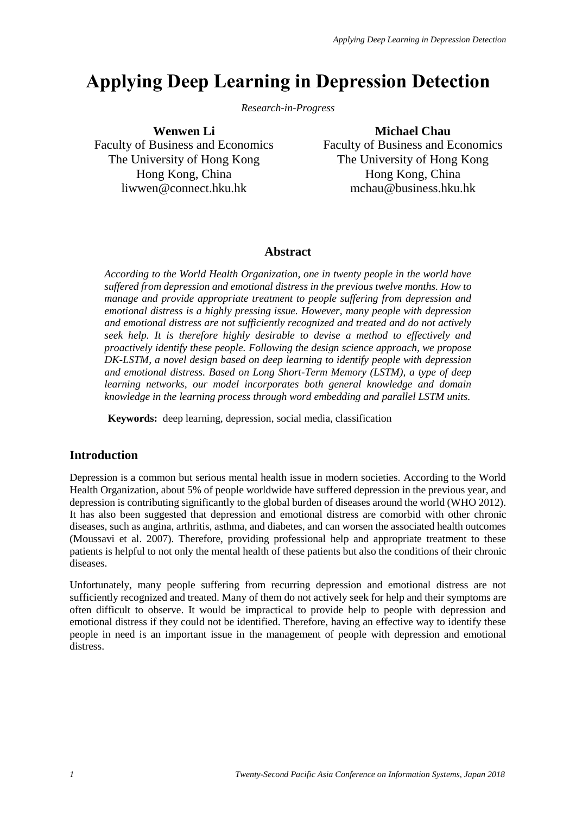# **Applying Deep Learning in Depression Detection**

*Research-in-Progress*

**Wenwen Li**

Faculty of Business and Economics The University of Hong Kong Hong Kong, China liwwen@connect.hku.hk

**Michael Chau** Faculty of Business and Economics The University of Hong Kong Hong Kong, China mchau@business.hku.hk

## **Abstract**

*According to the World Health Organization, one in twenty people in the world have suffered from depression and emotional distress in the previous twelve months. How to manage and provide appropriate treatment to people suffering from depression and emotional distress is a highly pressing issue. However, many people with depression and emotional distress are not sufficiently recognized and treated and do not actively seek help. It is therefore highly desirable to devise a method to effectively and proactively identify these people. Following the design science approach, we propose DK-LSTM, a novel design based on deep learning to identify people with depression and emotional distress. Based on Long Short-Term Memory (LSTM), a type of deep learning networks, our model incorporates both general knowledge and domain knowledge in the learning process through word embedding and parallel LSTM units.*

**Keywords:** deep learning, depression, social media, classification

# **Introduction**

Depression is a common but serious mental health issue in modern societies. According to the World Health Organization, about 5% of people worldwide have suffered depression in the previous year, and depression is contributing significantly to the global burden of diseases around the world (WHO 2012). It has also been suggested that depression and emotional distress are comorbid with other chronic diseases, such as angina, arthritis, asthma, and diabetes, and can worsen the associated health outcomes (Moussavi et al. 2007). Therefore, providing professional help and appropriate treatment to these patients is helpful to not only the mental health of these patients but also the conditions of their chronic diseases.

Unfortunately, many people suffering from recurring depression and emotional distress are not sufficiently recognized and treated. Many of them do not actively seek for help and their symptoms are often difficult to observe. It would be impractical to provide help to people with depression and emotional distress if they could not be identified. Therefore, having an effective way to identify these people in need is an important issue in the management of people with depression and emotional distress.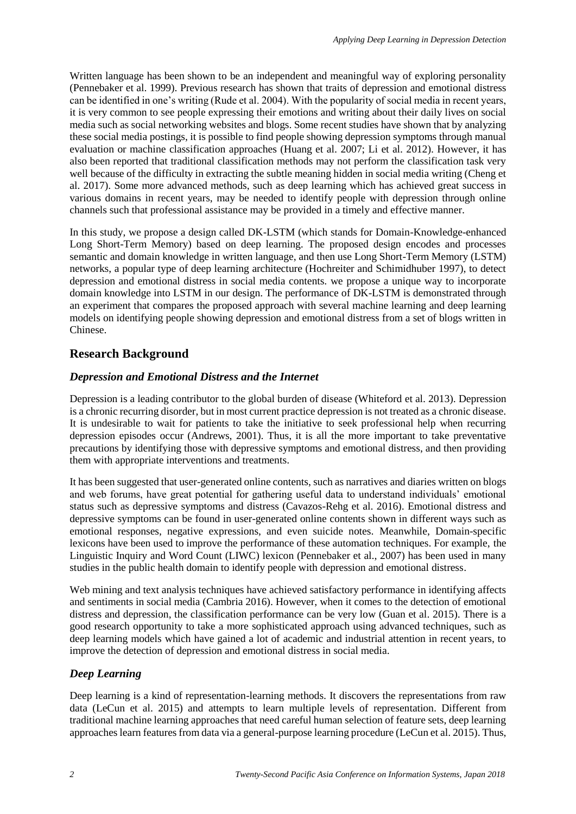Written language has been shown to be an independent and meaningful way of exploring personality (Pennebaker et al. 1999). Previous research has shown that traits of depression and emotional distress can be identified in one's writing (Rude et al. 2004). With the popularity of social media in recent years, it is very common to see people expressing their emotions and writing about their daily lives on social media such as social networking websites and blogs. Some recent studies have shown that by analyzing these social media postings, it is possible to find people showing depression symptoms through manual evaluation or machine classification approaches (Huang et al. 2007; Li et al. 2012). However, it has also been reported that traditional classification methods may not perform the classification task very well because of the difficulty in extracting the subtle meaning hidden in social media writing (Cheng et al. 2017). Some more advanced methods, such as deep learning which has achieved great success in various domains in recent years, may be needed to identify people with depression through online channels such that professional assistance may be provided in a timely and effective manner.

In this study, we propose a design called DK-LSTM (which stands for Domain-Knowledge-enhanced Long Short-Term Memory) based on deep learning. The proposed design encodes and processes semantic and domain knowledge in written language, and then use Long Short-Term Memory (LSTM) networks, a popular type of deep learning architecture (Hochreiter and Schimidhuber 1997), to detect depression and emotional distress in social media contents. we propose a unique way to incorporate domain knowledge into LSTM in our design. The performance of DK-LSTM is demonstrated through an experiment that compares the proposed approach with several machine learning and deep learning models on identifying people showing depression and emotional distress from a set of blogs written in Chinese.

## **Research Background**

#### *Depression and Emotional Distress and the Internet*

Depression is a leading contributor to the global burden of disease (Whiteford et al. 2013). Depression is a chronic recurring disorder, but in most current practice depression is not treated as a chronic disease. It is undesirable to wait for patients to take the initiative to seek professional help when recurring depression episodes occur (Andrews, 2001). Thus, it is all the more important to take preventative precautions by identifying those with depressive symptoms and emotional distress, and then providing them with appropriate interventions and treatments.

It has been suggested that user-generated online contents, such as narratives and diaries written on blogs and web forums, have great potential for gathering useful data to understand individuals' emotional status such as depressive symptoms and distress (Cavazos-Rehg et al. 2016). Emotional distress and depressive symptoms can be found in user-generated online contents shown in different ways such as emotional responses, negative expressions, and even suicide notes. Meanwhile, Domain-specific lexicons have been used to improve the performance of these automation techniques. For example, the Linguistic Inquiry and Word Count (LIWC) lexicon (Pennebaker et al., 2007) has been used in many studies in the public health domain to identify people with depression and emotional distress.

Web mining and text analysis techniques have achieved satisfactory performance in identifying affects and sentiments in social media (Cambria 2016). However, when it comes to the detection of emotional distress and depression, the classification performance can be very low (Guan et al. 2015). There is a good research opportunity to take a more sophisticated approach using advanced techniques, such as deep learning models which have gained a lot of academic and industrial attention in recent years, to improve the detection of depression and emotional distress in social media.

## *Deep Learning*

Deep learning is a kind of representation-learning methods. It discovers the representations from raw data (LeCun et al. 2015) and attempts to learn multiple levels of representation. Different from traditional machine learning approaches that need careful human selection of feature sets, deep learning approaches learn features from data via a general-purpose learning procedure (LeCun et al. 2015). Thus,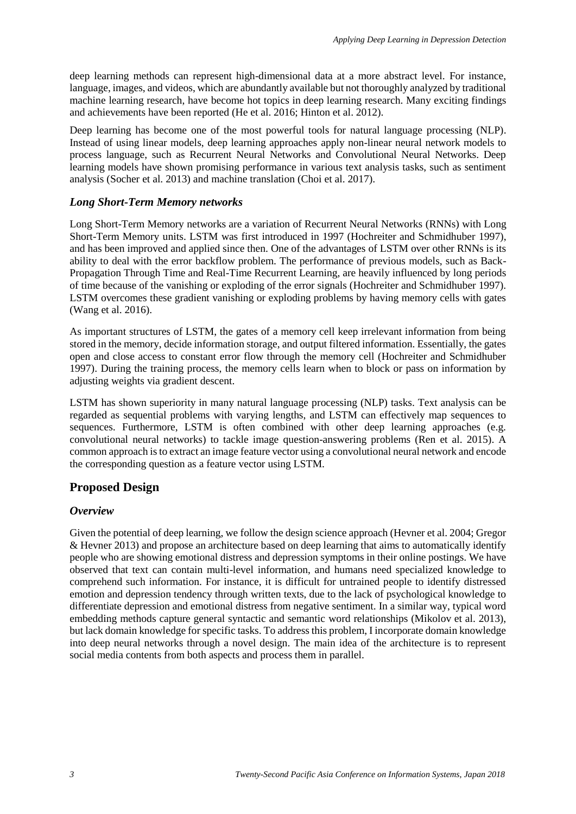deep learning methods can represent high-dimensional data at a more abstract level. For instance, language, images, and videos, which are abundantly available but not thoroughly analyzed by traditional machine learning research, have become hot topics in deep learning research. Many exciting findings and achievements have been reported (He et al. 2016; Hinton et al. 2012).

Deep learning has become one of the most powerful tools for natural language processing (NLP). Instead of using linear models, deep learning approaches apply non-linear neural network models to process language, such as Recurrent Neural Networks and Convolutional Neural Networks. Deep learning models have shown promising performance in various text analysis tasks, such as sentiment analysis (Socher et al. 2013) and machine translation (Choi et al. 2017).

## *Long Short-Term Memory networks*

Long Short-Term Memory networks are a variation of Recurrent Neural Networks (RNNs) with Long Short-Term Memory units. LSTM was first introduced in 1997 (Hochreiter and Schmidhuber 1997), and has been improved and applied since then. One of the advantages of LSTM over other RNNs is its ability to deal with the error backflow problem. The performance of previous models, such as Back-Propagation Through Time and Real-Time Recurrent Learning, are heavily influenced by long periods of time because of the vanishing or exploding of the error signals (Hochreiter and Schmidhuber 1997). LSTM overcomes these gradient vanishing or exploding problems by having memory cells with gates (Wang et al. 2016).

As important structures of LSTM, the gates of a memory cell keep irrelevant information from being stored in the memory, decide information storage, and output filtered information. Essentially, the gates open and close access to constant error flow through the memory cell (Hochreiter and Schmidhuber 1997). During the training process, the memory cells learn when to block or pass on information by adjusting weights via gradient descent.

LSTM has shown superiority in many natural language processing (NLP) tasks. Text analysis can be regarded as sequential problems with varying lengths, and LSTM can effectively map sequences to sequences. Furthermore, LSTM is often combined with other deep learning approaches (e.g. convolutional neural networks) to tackle image question-answering problems (Ren et al. 2015). A common approach is to extract an image feature vector using a convolutional neural network and encode the corresponding question as a feature vector using LSTM.

# **Proposed Design**

#### *Overview*

Given the potential of deep learning, we follow the design science approach (Hevner et al. 2004; Gregor & Hevner 2013) and propose an architecture based on deep learning that aims to automatically identify people who are showing emotional distress and depression symptoms in their online postings. We have observed that text can contain multi-level information, and humans need specialized knowledge to comprehend such information. For instance, it is difficult for untrained people to identify distressed emotion and depression tendency through written texts, due to the lack of psychological knowledge to differentiate depression and emotional distress from negative sentiment. In a similar way, typical word embedding methods capture general syntactic and semantic word relationships (Mikolov et al. 2013), but lack domain knowledge for specific tasks. To address this problem, I incorporate domain knowledge into deep neural networks through a novel design. The main idea of the architecture is to represent social media contents from both aspects and process them in parallel.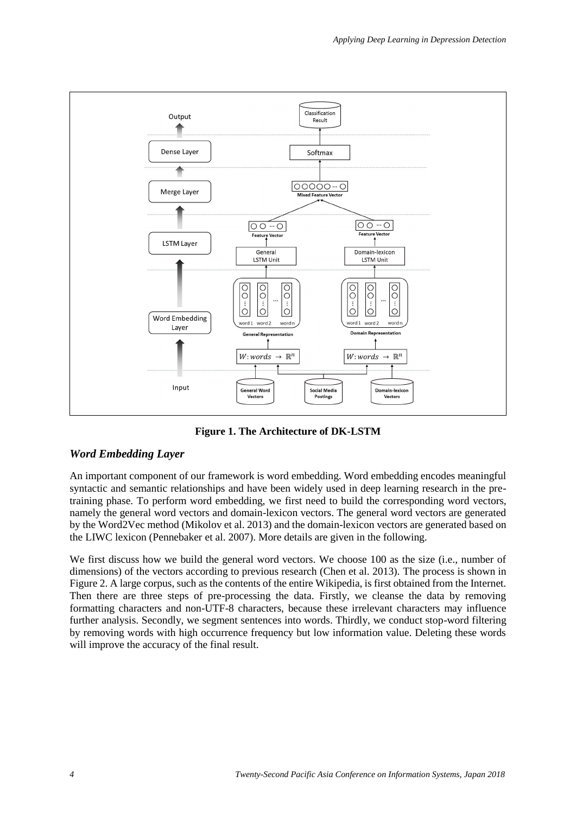

**Figure 1. The Architecture of DK-LSTM**

# *Word Embedding Layer*

An important component of our framework is word embedding. Word embedding encodes meaningful syntactic and semantic relationships and have been widely used in deep learning research in the pretraining phase. To perform word embedding, we first need to build the corresponding word vectors, namely the general word vectors and domain-lexicon vectors. The general word vectors are generated by the Word2Vec method (Mikolov et al. 2013) and the domain-lexicon vectors are generated based on the LIWC lexicon (Pennebaker et al. 2007). More details are given in the following.

We first discuss how we build the general word vectors. We choose 100 as the size (i.e., number of dimensions) of the vectors according to previous research (Chen et al. 2013). The process is shown in Figure 2. A large corpus, such as the contents of the entire Wikipedia, is first obtained from the Internet. Then there are three steps of pre-processing the data. Firstly, we cleanse the data by removing formatting characters and non-UTF-8 characters, because these irrelevant characters may influence further analysis. Secondly, we segment sentences into words. Thirdly, we conduct stop-word filtering by removing words with high occurrence frequency but low information value. Deleting these words will improve the accuracy of the final result.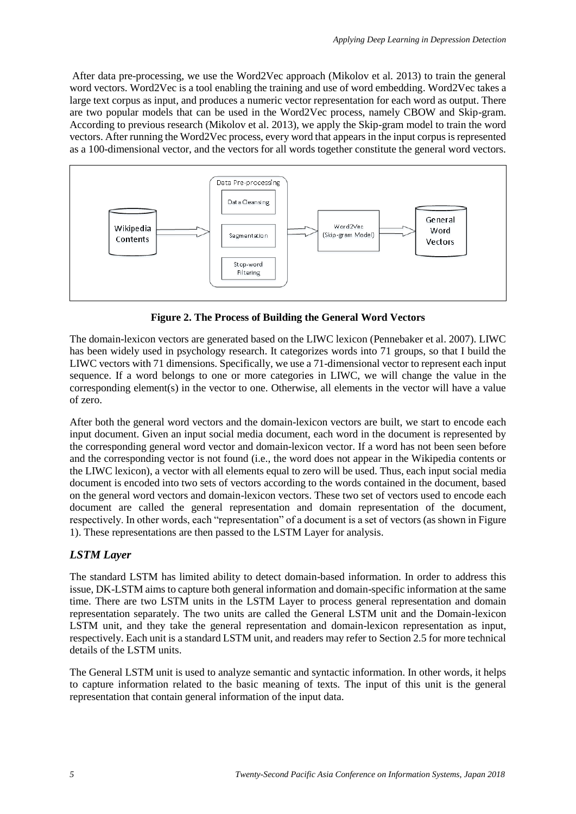After data pre-processing, we use the Word2Vec approach (Mikolov et al. 2013) to train the general word vectors. Word2Vec is a tool enabling the training and use of word embedding. Word2Vec takes a large text corpus as input, and produces a numeric vector representation for each word as output. There are two popular models that can be used in the Word2Vec process, namely CBOW and Skip-gram. According to previous research (Mikolov et al. 2013), we apply the Skip-gram model to train the word vectors. After running the Word2Vec process, every word that appears in the input corpus is represented as a 100-dimensional vector, and the vectors for all words together constitute the general word vectors.



**Figure 2. The Process of Building the General Word Vectors**

The domain-lexicon vectors are generated based on the LIWC lexicon (Pennebaker et al. 2007). LIWC has been widely used in psychology research. It categorizes words into 71 groups, so that I build the LIWC vectors with 71 dimensions. Specifically, we use a 71-dimensional vector to represent each input sequence. If a word belongs to one or more categories in LIWC, we will change the value in the corresponding element(s) in the vector to one. Otherwise, all elements in the vector will have a value of zero.

After both the general word vectors and the domain-lexicon vectors are built, we start to encode each input document. Given an input social media document, each word in the document is represented by the corresponding general word vector and domain-lexicon vector. If a word has not been seen before and the corresponding vector is not found (i.e., the word does not appear in the Wikipedia contents or the LIWC lexicon), a vector with all elements equal to zero will be used. Thus, each input social media document is encoded into two sets of vectors according to the words contained in the document, based on the general word vectors and domain-lexicon vectors. These two set of vectors used to encode each document are called the general representation and domain representation of the document, respectively. In other words, each "representation" of a document is a set of vectors (as shown in Figure 1). These representations are then passed to the LSTM Layer for analysis.

# *LSTM Layer*

The standard LSTM has limited ability to detect domain-based information. In order to address this issue, DK-LSTM aims to capture both general information and domain-specific information at the same time. There are two LSTM units in the LSTM Layer to process general representation and domain representation separately. The two units are called the General LSTM unit and the Domain-lexicon LSTM unit, and they take the general representation and domain-lexicon representation as input, respectively. Each unit is a standard LSTM unit, and readers may refer to Section 2.5 for more technical details of the LSTM units.

The General LSTM unit is used to analyze semantic and syntactic information. In other words, it helps to capture information related to the basic meaning of texts. The input of this unit is the general representation that contain general information of the input data.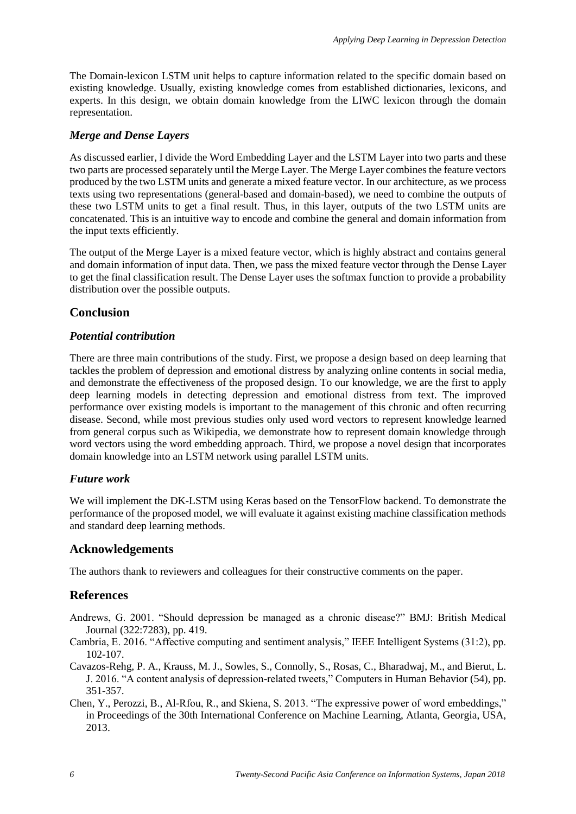The Domain-lexicon LSTM unit helps to capture information related to the specific domain based on existing knowledge. Usually, existing knowledge comes from established dictionaries, lexicons, and experts. In this design, we obtain domain knowledge from the LIWC lexicon through the domain representation.

#### *Merge and Dense Layers*

As discussed earlier, I divide the Word Embedding Layer and the LSTM Layer into two parts and these two parts are processed separately until the Merge Layer. The Merge Layer combines the feature vectors produced by the two LSTM units and generate a mixed feature vector. In our architecture, as we process texts using two representations (general-based and domain-based), we need to combine the outputs of these two LSTM units to get a final result. Thus, in this layer, outputs of the two LSTM units are concatenated. This is an intuitive way to encode and combine the general and domain information from the input texts efficiently.

The output of the Merge Layer is a mixed feature vector, which is highly abstract and contains general and domain information of input data. Then, we pass the mixed feature vector through the Dense Layer to get the final classification result. The Dense Layer uses the softmax function to provide a probability distribution over the possible outputs.

# **Conclusion**

#### *Potential contribution*

There are three main contributions of the study. First, we propose a design based on deep learning that tackles the problem of depression and emotional distress by analyzing online contents in social media, and demonstrate the effectiveness of the proposed design. To our knowledge, we are the first to apply deep learning models in detecting depression and emotional distress from text. The improved performance over existing models is important to the management of this chronic and often recurring disease. Second, while most previous studies only used word vectors to represent knowledge learned from general corpus such as Wikipedia, we demonstrate how to represent domain knowledge through word vectors using the word embedding approach. Third, we propose a novel design that incorporates domain knowledge into an LSTM network using parallel LSTM units.

#### *Future work*

We will implement the DK-LSTM using Keras based on the TensorFlow backend. To demonstrate the performance of the proposed model, we will evaluate it against existing machine classification methods and standard deep learning methods.

## **Acknowledgements**

The authors thank to reviewers and colleagues for their constructive comments on the paper.

# **References**

- Andrews, G. 2001. "Should depression be managed as a chronic disease?" BMJ: British Medical Journal (322:7283), pp. 419.
- Cambria, E. 2016. "Affective computing and sentiment analysis," IEEE Intelligent Systems (31:2), pp. 102-107.
- Cavazos-Rehg, P. A., Krauss, M. J., Sowles, S., Connolly, S., Rosas, C., Bharadwaj, M., and Bierut, L. J. 2016. "A content analysis of depression-related tweets," Computers in Human Behavior (54), pp. 351-357.
- Chen, Y., Perozzi, B., Al-Rfou, R., and Skiena, S. 2013. "The expressive power of word embeddings," in Proceedings of the 30th International Conference on Machine Learning, Atlanta, Georgia, USA, 2013.